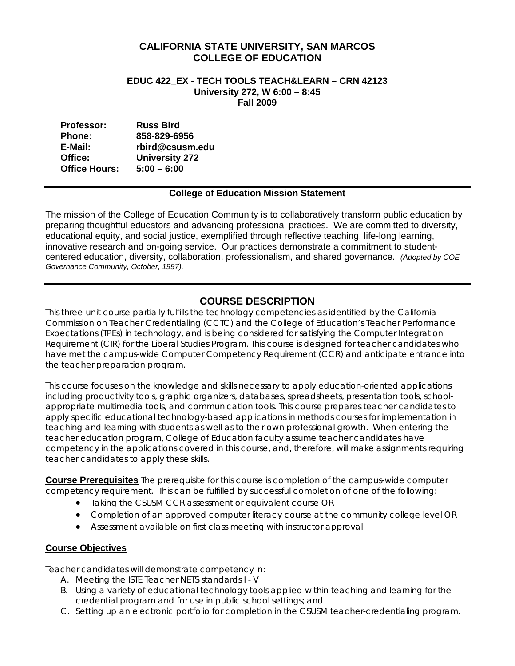# **CALIFORNIA STATE UNIVERSITY, SAN MARCOS COLLEGE OF EDUCATION**

### **EDUC 422\_EX - TECH TOOLS TEACH&LEARN – CRN 42123 University 272, W 6:00 – 8:45 Fall 2009**

| <b>Professor:</b>    | <b>Russ Bird</b>      |
|----------------------|-----------------------|
| <b>Phone:</b>        | 858-829-6956          |
| E-Mail:              | rbird@csusm.edu       |
| Office:              | <b>University 272</b> |
| <b>Office Hours:</b> | $5:00 - 6:00$         |

# **College of Education Mission Statement**

The mission of the College of Education Community is to collaboratively transform public education by preparing thoughtful educators and advancing professional practices. We are committed to diversity, educational equity, and social justice, exemplified through reflective teaching, life-long learning, innovative research and on-going service. Our practices demonstrate a commitment to studentcentered education, diversity, collaboration, professionalism, and shared governance. *(Adopted by COE Governance Community, October, 1997).* 

# **COURSE DESCRIPTION**

This three-unit course partially fulfills the technology competencies as identified by the California Commission on Teacher Credentialing (CCTC) and the College of Education's Teacher Performance Expectations (TPEs) in technology, and is being considered for satisfying the Computer Integration Requirement (CIR) for the Liberal Studies Program. This course is designed for teacher candidates who have met the campus-wide Computer Competency Requirement (CCR) and anticipate entrance into the teacher preparation program.

 teacher candidates to apply these skills. This course focuses on the knowledge and skills necessary to apply education-oriented applications including productivity tools, graphic organizers, databases, spreadsheets, presentation tools, schoolappropriate multimedia tools, and communication tools. This course prepares teacher candidates to apply specific educational technology-based applications in methods courses for implementation in teaching and learning with students as well as to their own professional growth. When entering the teacher education program, College of Education faculty assume teacher candidates have competency in the applications covered in this course, and, therefore, will make assignments requiring

**Course Prerequisites** The prerequisite for this course is completion of the campus-wide computer competency requirement. This can be fulfilled by successful completion of one of the following:

- Taking the CSUSM CCR assessment or equivalent course OR
- Completion of an approved computer literacy course at the community college level OR
- • Assessment available on first class meeting with instructor approval

# **Course Objectives**

Teacher candidates will demonstrate competency in:

- A. Meeting the ISTE Teacher NETS standards I V
- B. Using a variety of educational technology tools applied within teaching and learning for the credential program and for use in public school settings; and
- C. Setting up an electronic portfolio for completion in the CSUSM teacher-credentialing program.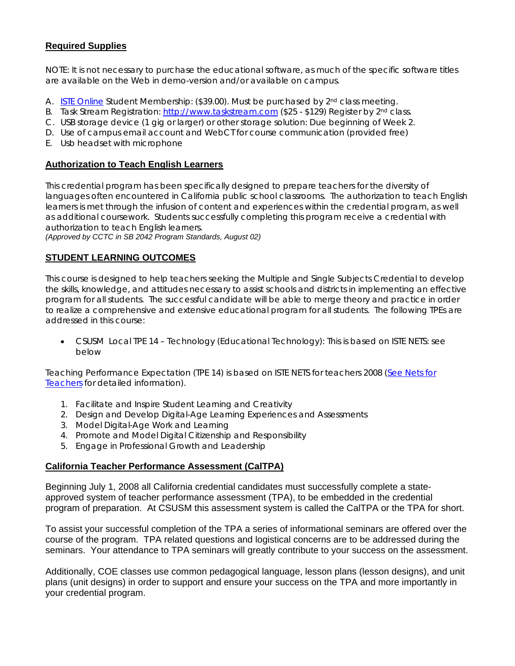# **Required Supplies**

NOTE: It is not necessary to purchase the educational software, as much of the specific software titles are available on the Web in demo-version and/or available on campus.

- A. **ISTE Online Student Membership: (\$39.00)**. Must be purchased by 2<sup>nd</sup> class meeting.
- B. Task Stream Registration: http://www.taskstream.com (\$25 \$129) Register by 2<sup>nd</sup> class.
- C. USB storage device (1 gig or larger) or other storage solution: Due beginning of Week 2.
- D. Use of campus email account and WebCT for course communication (provided free)
- E. Usb headset with microphone

### **Authorization to Teach English Learners**

This credential program has been specifically designed to prepare teachers for the diversity of languages often encountered in California public school classrooms. The authorization to teach English learners is met through the infusion of content and experiences within the credential program, as well as additional coursework. Students successfully completing this program receive a credential with authorization to teach English learners.

*(Approved by CCTC in SB 2042 Program Standards, August 02)* 

# **STUDENT LEARNING OUTCOMES**

This course is designed to help teachers seeking the Multiple and Single Subjects Credential to develop the skills, knowledge, and attitudes necessary to assist schools and districts in implementing an effective program for all students. The successful candidate will be able to merge theory and practice in order to realize a comprehensive and extensive educational program for all students. The following TPEs are addressed in this course:

CSUSM Local TPE 14 – Technology (Educational Technology): This is based on ISTE NETS: see below

Teaching Performance Expectation (TPE 14) is based on ISTE NETS for teachers 2008 (See Nets for Teachers for detailed information).

- 1. Facilitate and Inspire Student Learning and Creativity
- 2. Design and Develop Digital-Age Learning Experiences and Assessments
- 3. Model Digital-Age Work and Learning
- 4. Promote and Model Digital Citizenship and Responsibility
- 5. Engage in Professional Growth and Leadership

## **California Teacher Performance Assessment (CalTPA)**

Beginning July 1, 2008 all California credential candidates must successfully complete a stateapproved system of teacher performance assessment (TPA), to be embedded in the credential program of preparation. At CSUSM this assessment system is called the CalTPA or the TPA for short.

To assist your successful completion of the TPA a series of informational seminars are offered over the course of the program. TPA related questions and logistical concerns are to be addressed during the seminars. Your attendance to TPA seminars will greatly contribute to your success on the assessment.

Additionally, COE classes use common pedagogical language, lesson plans (lesson designs), and unit plans (unit designs) in order to support and ensure your success on the TPA and more importantly in your credential program.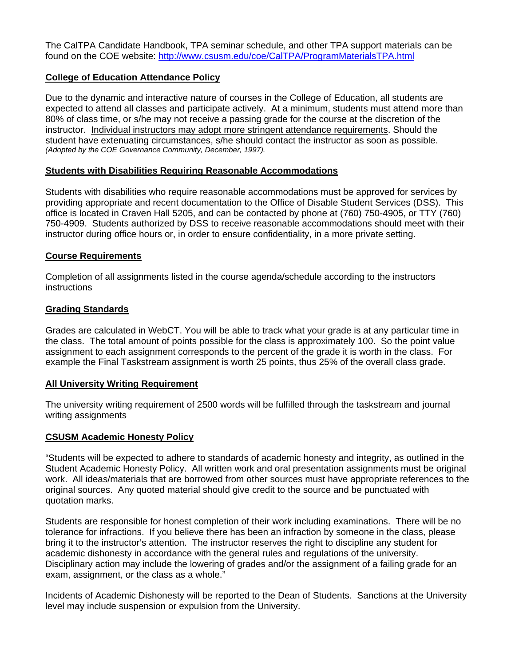The CalTPA Candidate Handbook, TPA seminar schedule, and other TPA support materials can be found on the COE website: http://www.csusm.edu/coe/CalTPA/ProgramMaterialsTPA.html

# **College of Education Attendance Policy**

 *(Adopted by the COE Governance Community, December, 1997).* Due to the dynamic and interactive nature of courses in the College of Education, all students are expected to attend all classes and participate actively. At a minimum, students must attend more than 80% of class time, or s/he may not receive a passing grade for the course at the discretion of the instructor. Individual instructors may adopt more stringent attendance requirements. Should the student have extenuating circumstances, s/he should contact the instructor as soon as possible.

## **Students with Disabilities Requiring Reasonable Accommodations**

Students with disabilities who require reasonable accommodations must be approved for services by providing appropriate and recent documentation to the Office of Disable Student Services (DSS). This office is located in Craven Hall 5205, and can be contacted by phone at (760) 750-4905, or TTY (760) 750-4909. Students authorized by DSS to receive reasonable accommodations should meet with their instructor during office hours or, in order to ensure confidentiality, in a more private setting.

# **Course Requirements**

Completion of all assignments listed in the course agenda/schedule according to the instructors instructions

# **Grading Standards**

Grades are calculated in WebCT. You will be able to track what your grade is at any particular time in the class. The total amount of points possible for the class is approximately 100. So the point value assignment to each assignment corresponds to the percent of the grade it is worth in the class. For example the Final Taskstream assignment is worth 25 points, thus 25% of the overall class grade.

## **All University Writing Requirement**

The university writing requirement of 2500 words will be fulfilled through the taskstream and journal writing assignments

## **CSUSM Academic Honesty Policy**

"Students will be expected to adhere to standards of academic honesty and integrity, as outlined in the Student Academic Honesty Policy. All written work and oral presentation assignments must be original work. All ideas/materials that are borrowed from other sources must have appropriate references to the original sources. Any quoted material should give credit to the source and be punctuated with quotation marks.

Students are responsible for honest completion of their work including examinations. There will be no tolerance for infractions. If you believe there has been an infraction by someone in the class, please bring it to the instructor's attention. The instructor reserves the right to discipline any student for academic dishonesty in accordance with the general rules and regulations of the university. Disciplinary action may include the lowering of grades and/or the assignment of a failing grade for an exam, assignment, or the class as a whole."

Incidents of Academic Dishonesty will be reported to the Dean of Students. Sanctions at the University level may include suspension or expulsion from the University.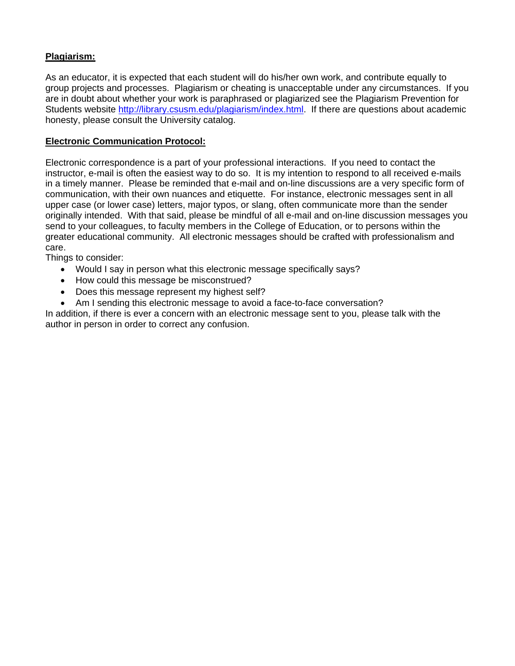# **Plagiarism:**

As an educator, it is expected that each student will do his/her own work, and contribute equally to group projects and processes. Plagiarism or cheating is unacceptable under any circumstances. If you are in doubt about whether your work is paraphrased or plagiarized see the Plagiarism Prevention for Students website http://library.csusm.edu/plagiarism/index.html. If there are questions about academic honesty, please consult the University catalog.

# **Electronic Communication Protocol:**

Electronic correspondence is a part of your professional interactions. If you need to contact the instructor, e-mail is often the easiest way to do so. It is my intention to respond to all received e-mails in a timely manner. Please be reminded that e-mail and on-line discussions are a very specific form of communication, with their own nuances and etiquette. For instance, electronic messages sent in all upper case (or lower case) letters, major typos, or slang, often communicate more than the sender originally intended. With that said, please be mindful of all e-mail and on-line discussion messages you send to your colleagues, to faculty members in the College of Education, or to persons within the greater educational community. All electronic messages should be crafted with professionalism and care.

Things to consider:

- Would I say in person what this electronic message specifically says?
- How could this message be misconstrued?
- Does this message represent my highest self?
- Am I sending this electronic message to avoid a face-to-face conversation?

In addition, if there is ever a concern with an electronic message sent to you, please talk with the author in person in order to correct any confusion.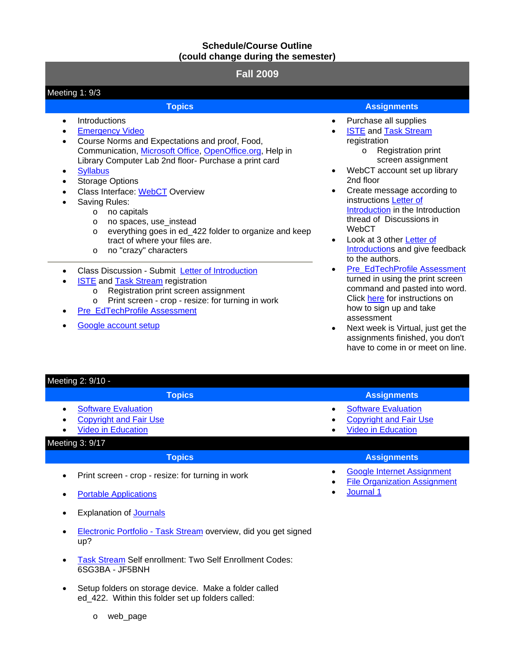# **Schedule/Course Outline (could change during the semester)**

# **Fall 2009**

### • Saving Rules: • Class Discussion - Submit Letter of Introduction registration Meeting 1: 9/3 **Topics Assignments** • Introductions **Emergency Video** Course Norms and Expectations and proof, Food, Communication, Microsoft Office, OpenOffice.org, Help in Library Computer Lab 2nd floor- Purchase a print card **Syllabus** Storage Options Class Interface: WebCT Overview o no capitals o no spaces, use\_instead o everything goes in ed\_422 folder to organize and keep tract of where your files are. o no "crazy" characters • Purchase all supplies **ISTE and Task Stream** o Registration print 2nd floor instructions Letter of WebCT to the authors.

- **ISTE** and Task Stream registration
	- o Registration print screen assignment
	- o Print screen crop resize: for turning in work
- Pre\_EdTechProfile Assessment
- Google account setup
- 
- - screen assignment
- WebCT account set up library
- Create message according to Introduction in the Introduction thread of Discussions in
- Look at 3 other Letter of Introductions and give feedback
- Pre\_EdTechProfile Assessment turned in using the print screen command and pasted into word. Click here for instructions on how to sign up and take assessment
- Next week is Virtual, just get the assignments finished, you don't have to come in or meet on line.

| Meeting 2: 9/10 -                                                                                                                                  |                                                                                                                    |
|----------------------------------------------------------------------------------------------------------------------------------------------------|--------------------------------------------------------------------------------------------------------------------|
| <b>Topics</b>                                                                                                                                      | <b>Assignments</b>                                                                                                 |
| <b>Software Evaluation</b><br>$\bullet$<br><b>Copyright and Fair Use</b><br>$\bullet$<br><b>Video in Education</b><br>$\bullet$<br>Meeting 3: 9/17 | <b>Software Evaluation</b><br>$\bullet$<br><b>Copyright and Fair Use</b><br><b>Video in Education</b><br>$\bullet$ |
| <b>Topics</b>                                                                                                                                      | <b>Assignments</b>                                                                                                 |
| Print screen - crop - resize: for turning in work<br>$\bullet$                                                                                     | <b>Google Internet Assignment</b><br>$\bullet$<br><b>File Organization Assignment</b>                              |
| <b>Portable Applications</b>                                                                                                                       | Journal 1<br>٠                                                                                                     |

- **Explanation of Journals**
- up? Electronic Portfolio - Task Stream overview, did you get signed
- Task Stream Self enrollment: Two Self Enrollment Codes: 6SG3BA - JF5BNH
- ed\_422. Within this folder set up folders called: Setup folders on storage device. Make a folder called
	- o web\_page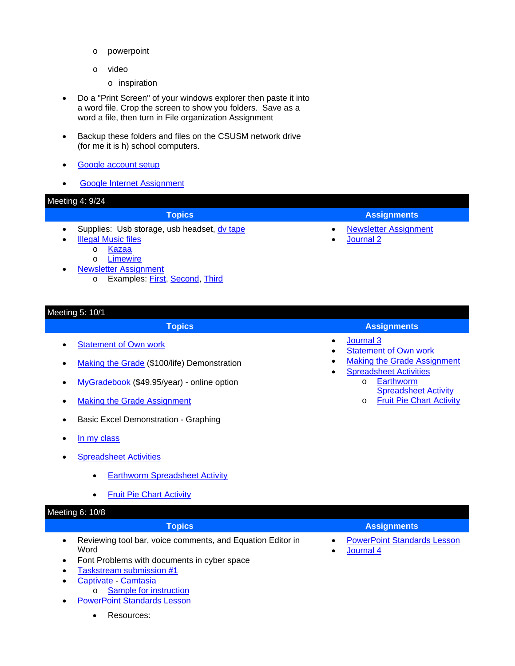- o powerpoint
- o video
	- o inspiration
- Do a "Print Screen" of your windows explorer then paste it into a word file. Crop the screen to show you folders. Save as a word a file, then turn in File organization Assignment
- Backup these folders and files on the CSUSM network drive (for me it is h) school computers.
- Google account setup
- $\bullet$ Google Internet Assignment

# Meeting 4: 9/24

•

# **Topics Assignments**

- Supplies: Usb storage, usb headset, dv tape
	- Illegal Music files
		- o Kazaa
		- o Limewire
- Newsletter Assignment
	- o Examples: First, Second, Third

# Meeting 5: 10/1

- Statement of Own work
- Making the Grade (\$100/life) Demonstration
- MyGradebook (\$49.95/year) online option
- Making the Grade Assignment
- **Basic Excel Demonstration Graphing**
- In my class
- **Spreadsheet Activities** 
	- • Earthworm Spreadsheet Activity
	- • Fruit Pie Chart Activity

# Meeting 6: 10/8

- Reviewing tool bar, voice comments, and Equation Editor in PowerPoint Standards Lesson Word **• Journal 4**
- Font Problems with documents in cyber space
- Taskstream submission #1
- Captivate Camtasia
	- o Sample for instruction
- **PowerPoint Standards Lesson** 
	- Resources:

Newsletter Assignment

## **Topics Assignments**

• Journal 3

Journal 2

• •

- **Statement of Own work**
- **Making the Grade Assignment**
- **Spreadsheet Activities** o Earthworm
	- Spreadsheet Activity
	- o Fruit Pie Chart Activity

# **Topics Assignments Assignments**

- 
-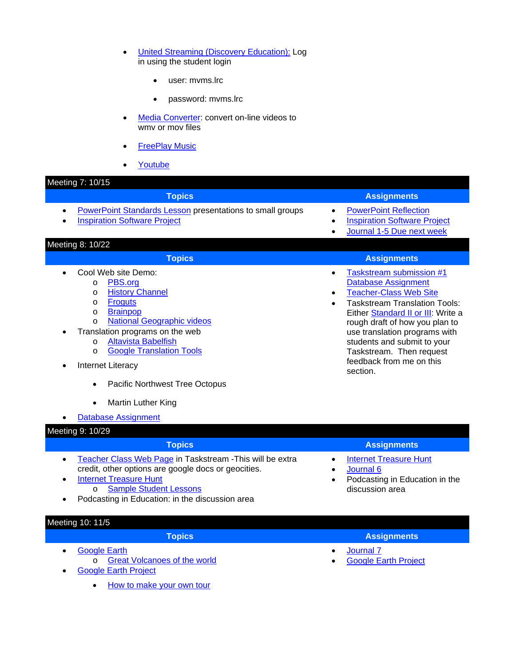- United Streaming (Discovery Education): Log in using the student login
	- user: myms.lrc
	- password: mvms.lrc
- Media Converter: convert on-line videos to wmv or mov files
- **FreePlay Music**
- **Youtube**

### Meeting 7: 10/15

### • Translation programs on the web **Topics Assignments** • PowerPoint Standards Lesson presentations to small groups • PowerPoint Reflection **Inspiration Software Project • Inspiration Software Project • Inspiration Software Project** • Journal 1-5 Due next week Meeting 8: 10/22 **Topics Assignments Assignments** • Cool Web site Demo: o PBS.org o History Channel o Froguts o **Brainpop** o National Geographic videos o Altavista Babelfish o Google Translation Tools **Internet Literacy** • Pacific Northwest Tree Octopus • Martin Luther King • Database Assignment • Taskstream submission #1 Database Assignment **Teacher-Class Web Site** Taskstream Translation Tools: Either Standard II or III: Write a rough draft of how you plan to use translation programs with students and submit to your Taskstream. Then request feedback from me on this section.

### Meeting 9: 10/29

- Teacher Class Web Page in Taskstream This will be extra Internet Treasure Hunt credit, other options are google docs or geocities. <br> **• Journal 6**
- Internet Treasure Hunt
	- o Sample Student Lessons
- Podcasting in Education: in the discussion area
- **Topics Assignments** 
	-
	-
	- Podcasting in Education in the discussion area

# Meeting 10: 11/5

- Google Earth
	- o Great Volcanoes of the world
- Google Earth Project
	- How to make your own tour
- **Topics Assignments Assignments** 
	- Journal 7

•

• Google Earth Project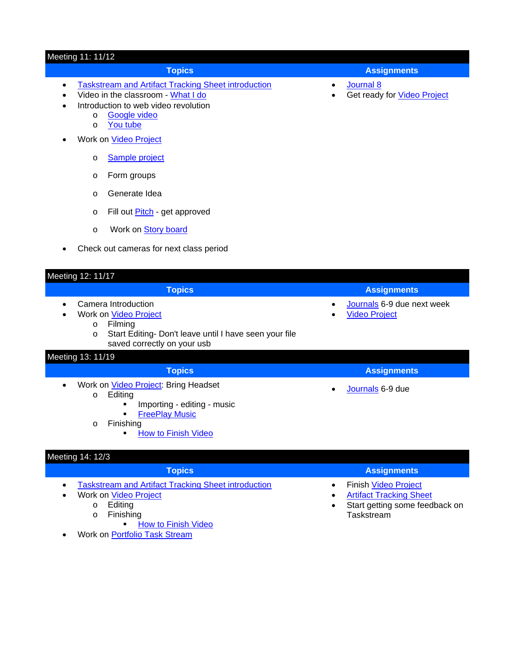### Meeting 11: 11/12

# • Taskstream and Artifact Tracking Sheet introduction • Journal 8

- Video in the classroom What I do **•** Get ready for Video Project
- • Introduction to web video revolution
	- o **Google video**
	- o You tube
- Work on Video Project
	- o Sample project
	- o Form groups
	- o Generate Idea
	- o Fill out **Pitch** get approved
	- o Work on **Story board**
- • Check out cameras for next class period

## Meeting 12: 11/17

- 
- -
	- o Start Editing- Don't leave until I have seen your file saved correctly on your usb

### Meeting 13: 11/19

- - o Editing
		- Importing editing music
		- **FreePlay Music**
		- o Finishing
			- How to Finish Video

# Meeting 14: 12/3

- Taskstream and Artifact Tracking Sheet introduction Finish Video Project
	- Work on **Video Project** 
		- - - **How to Finish Video**
- Work on Portfolio Task Stream
- **Topics Assignments Assignments** 
	-
	-

 • Work on Video Project • Video Project • Camera Introduction • Journals 6-9 due next week o Filming **Topics Assignments Assignments** • Work on *Video Project*: Bring Headset **•** Journals 6-9 due

**Topics Assignments Assignments** 

- **Topics Assignments** 
	-
- Artifact Tracking Sheet Artifact Tracking Sheet Artifact Tracking Sheet Artifact Tracking Sheet Start detting some feed
- o Finishing **Taskstream** Start getting some feedback on